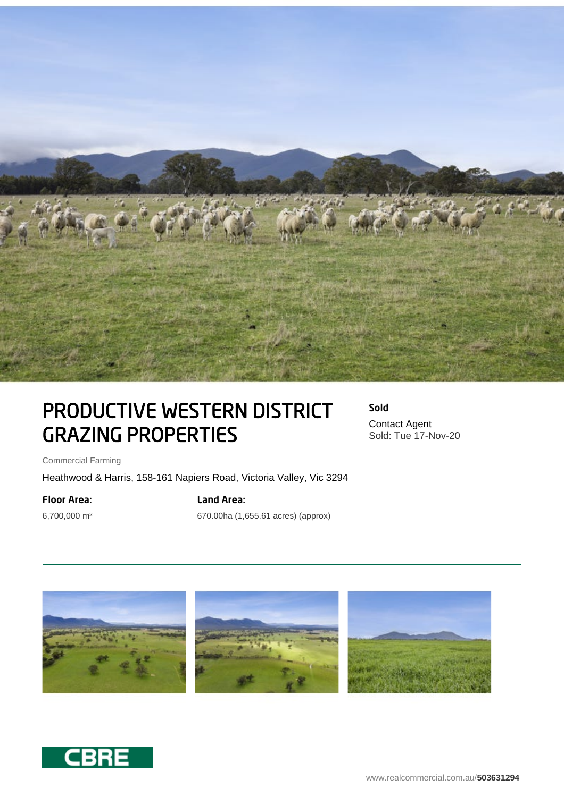

# PRODUCTIVE WESTERN DISTRICT GRAZING PROPERTIES

Sold Contact Agent Sold: Tue 17-Nov-20

Commercial Farming

Heathwood & Harris, 158-161 Napiers Road, Victoria Valley, Vic 3294

#### Floor Area:

6,700,000 m²

# Land Area:

670.00ha (1,655.61 acres) (approx)